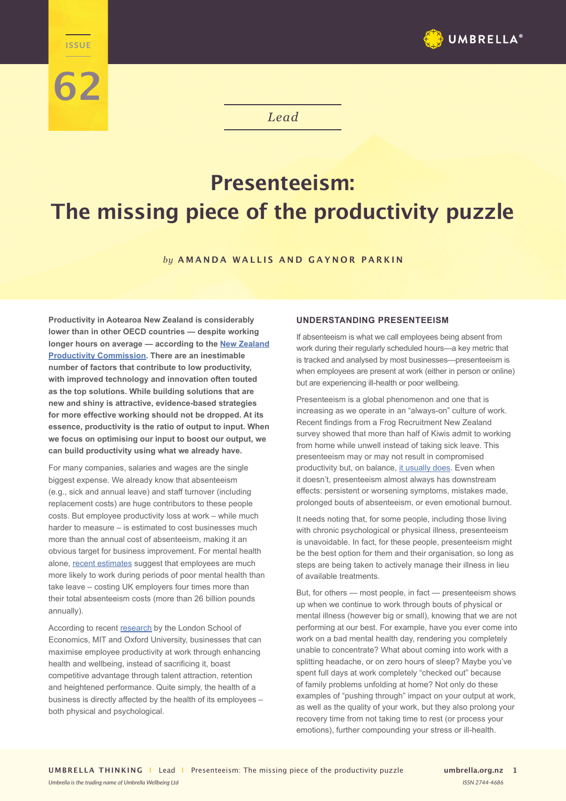

*Lead*

# **Presenteeism: The missing piece of the productivity puzzle**

### *by* **AMANDA WALLIS AND GAYNOR PARKIN**

**Productivity in Aotearoa New Zealand is considerably lower than in other OECD countries — despite working longer hours on average — according to the [New Zealand](https://www.productivity.govt.nz/research/productivity-by-the-numbers/) [Productivity Commission.](https://www.productivity.govt.nz/research/productivity-by-the-numbers/) There are an inestimable number of factors that contribute to low productivity, with improved technology and innovation often touted as the top solutions. While building solutions that are new and shiny is attractive, evidence-based strategies for more effective working should not be dropped. At its essence, productivity is the ratio of output to input. When we focus on optimising our input to boost our output, we can build productivity using what we already have.**

**LEADE** 

**62**

For many companies, salaries and wages are the single biggest expense. We already know that absenteeism (e.g., sick and annual leave) and staff turnover (including replacement costs) are huge contributors to these people costs. But employee productivity loss at work – while much harder to measure – is estimated to cost businesses much more than the annual cost of absenteeism, making it an obvious target for business improvement. For mental health alone, [recent estimates](https://www2.deloitte.com/uk/en/pages/consulting/articles/mental-health-and-employers-refreshing-the-case-for-investment.html) suggest that employees are much more likely to work during periods of poor mental health than take leave – costing UK employers four times more than their total absenteeism costs (more than 26 billion pounds annually).

According to recent [research](https://s3.amazonaws.com/ghwbpr-2019/UAE/GH19_Ch5.pdf) by the London School of Economics, MIT and Oxford University, businesses that can maximise employee productivity at work through enhancing health and wellbeing, instead of sacrificing it, boast competitive advantage through talent attraction, retention and heightened performance. Quite simply, the health of a business is directly affected by the health of its employees – both physical and psychological.

## **UNDERSTANDING PRESENTEEISM**

If absenteeism is what we call employees being absent from work during their regularly scheduled hours—a key metric that is tracked and analysed by most businesses—presenteeism is when employees are present at work (either in person or online) but are experiencing ill-health or poor wellbeing.

Presenteeism is a global phenomenon and one that is increasing as we operate in an "always-on" culture of work. Recent findings from a Frog Recruitment New Zealand survey showed that more than half of Kiwis admit to working from home while unwell instead of taking sick leave. This presenteeism may or may not result in compromised productivity but, on balance, [it usually does.](https://link.springer.com/article/10.1186/s12960-018-0321-9) Even when it doesn't, presenteeism almost always has downstream effects: persistent or worsening symptoms, mistakes made, prolonged bouts of absenteeism, or even emotional burnout.

It needs noting that, for some people, including those living with chronic psychological or physical illness, presenteeism is unavoidable. In fact, for these people, presenteeism might be the best option for them and their organisation, so long as steps are being taken to actively manage their illness in lieu of available treatments.

But, for others — most people, in fact — presenteeism shows up when we continue to work through bouts of physical or mental illness (however big or small), knowing that we are not performing at our best. For example, have you ever come into work on a bad mental health day, rendering you completely unable to concentrate? What about coming into work with a splitting headache, or on zero hours of sleep? Maybe you've spent full days at work completely "checked out" because of family problems unfolding at home? Not only do these examples of "pushing through" impact on your output at work, as well as the quality of your work, but they also prolong your recovery time from not taking time to rest (or process your emotions), further compounding your stress or ill-health.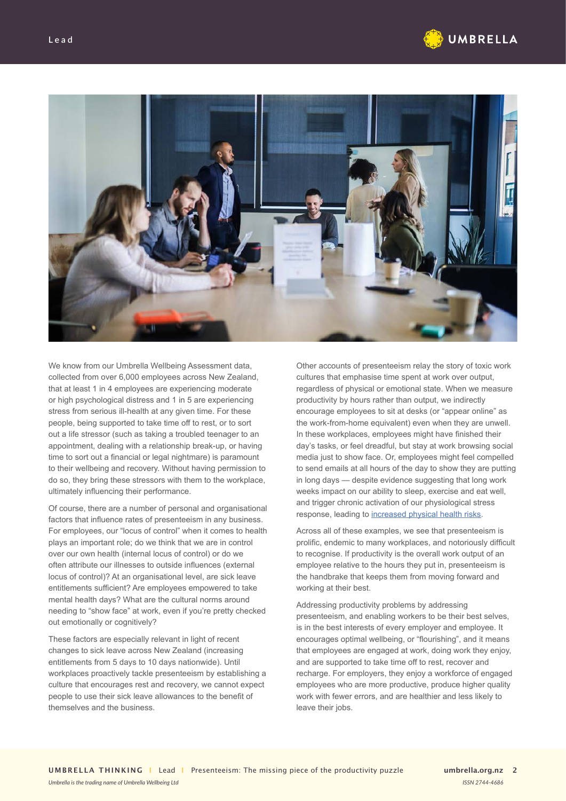



We know from our Umbrella Wellbeing Assessment data, collected from over 6,000 employees across New Zealand, that at least 1 in 4 employees are experiencing moderate or high psychological distress and 1 in 5 are experiencing stress from serious ill-health at any given time. For these people, being supported to take time off to rest, or to sort out a life stressor (such as taking a troubled teenager to an appointment, dealing with a relationship break-up, or having time to sort out a financial or legal nightmare) is paramount to their wellbeing and recovery. Without having permission to do so, they bring these stressors with them to the workplace, ultimately influencing their performance.

Of course, there are a number of personal and organisational factors that influence rates of presenteeism in any business. For employees, our "locus of control" when it comes to health plays an important role; do we think that we are in control over our own health (internal locus of control) or do we often attribute our illnesses to outside influences (external locus of control)? At an organisational level, are sick leave entitlements sufficient? Are employees empowered to take mental health days? What are the cultural norms around needing to "show face" at work, even if you're pretty checked out emotionally or cognitively?

These factors are especially relevant in light of recent changes to sick leave across New Zealand (increasing entitlements from 5 days to 10 days nationwide). Until workplaces proactively tackle presenteeism by establishing a culture that encourages rest and recovery, we cannot expect people to use their sick leave allowances to the benefit of themselves and the business.

*Umbrella is the trading name of Umbrella Wellbeing Ltd*

Other accounts of presenteeism relay the story of toxic work cultures that emphasise time spent at work over output, regardless of physical or emotional state. When we measure productivity by hours rather than output, we indirectly encourage employees to sit at desks (or "appear online" as the work-from-home equivalent) even when they are unwell. In these workplaces, employees might have finished their day's tasks, or feel dreadful, but stay at work browsing social media just to show face. Or, employees might feel compelled to send emails at all hours of the day to show they are putting in long days — despite evidence suggesting that long work weeks impact on our ability to sleep, exercise and eat well, and trigger chronic activation of our physiological stress response, leading to [increased physical health risks](https://www.who.int/news/item/17-05-2021-long-working-hours-increasing-deaths-from-heart-disease-and-stroke-who-ilo).

Across all of these examples, we see that presenteeism is prolific, endemic to many workplaces, and notoriously difficult to recognise. If productivity is the overall work output of an employee relative to the hours they put in, presenteeism is the handbrake that keeps them from moving forward and working at their best.

Addressing productivity problems by addressing presenteeism, and enabling workers to be their best selves, is in the best interests of every employer and employee. It encourages optimal wellbeing, or "flourishing", and it means that employees are engaged at work, doing work they enjoy, and are supported to take time off to rest, recover and recharge. For employers, they enjoy a workforce of engaged employees who are more productive, produce higher quality work with fewer errors, and are healthier and less likely to leave their jobs.